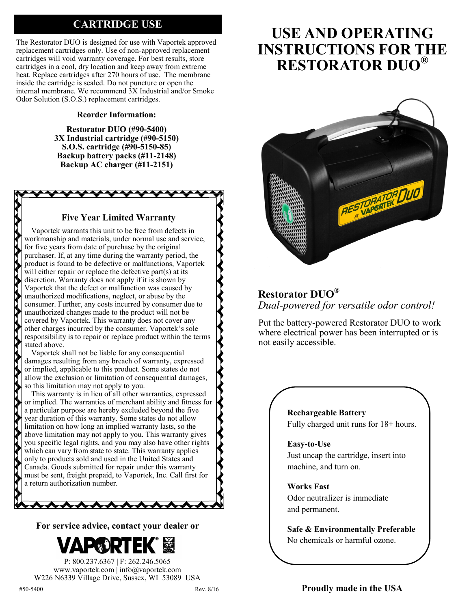# **CARTRIDGE USE**

The Restorator DUO is designed for use with Vaportek approved replacement cartridges only. Use of non-approved replacement cartridges will void warranty coverage. For best results, store cartridges in a cool, dry location and keep away from extreme heat. Replace cartridges after 270 hours of use. The membrane inside the cartridge is sealed. Do not puncture or open the internal membrane. We recommend 3X Industrial and/or Smoke Odor Solution (S.O.S.) replacement cartridges.

# **Reorder Information:**

**Restorator DUO (#90-5400) 3X Industrial cartridge (#90-5150) S.O.S. cartridge (#90-5150-85) Backup battery packs (#11-2148) Backup AC charger (#11-2151)**

# **Five Year Limited Warranty**

Vaportek warrants this unit to be free from defects in workmanship and materials, under normal use and service, for five years from date of purchase by the original purchaser. If, at any time during the warranty period, the product is found to be defective or malfunctions, Vaportek will either repair or replace the defective part(s) at its discretion. Warranty does not apply if it is shown by Vaportek that the defect or malfunction was caused by unauthorized modifications, neglect, or abuse by the consumer. Further, any costs incurred by consumer due to unauthorized changes made to the product will not be covered by Vaportek. This warranty does not cover any other charges incurred by the consumer. Vaportek's sole responsibility is to repair or replace product within the terms stated above.

Vaportek shall not be liable for any consequential damages resulting from any breach of warranty, expressed or implied, applicable to this product. Some states do not allow the exclusion or limitation of consequential damages, so this limitation may not apply to you.

This warranty is in lieu of all other warranties, expressed or implied. The warranties of merchant ability and fitness for a particular purpose are hereby excluded beyond the five year duration of this warranty. Some states do not allow limitation on how long an implied warranty lasts, so the above limitation may not apply to you. This warranty gives you specific legal rights, and you may also have other rights which can vary from state to state. This warranty applies only to products sold and used in the United States and Canada. Goods submitted for repair under this warranty must be sent, freight prepaid, to Vaportek, Inc. Call first for a return authorization number.

**For service advice, contact your dealer or** 

 $\lambda$ 



P: 800.237.6367 | F: 262.246.5065 www.vaportek.com | info@vaportek.com W226 N6339 Village Drive, Sussex, WI 53089 USA

# RESTORATOR DUO

**USE AND OPERATING** 

**INSTRUCTIONS FOR THE RESTORATOR DUO®**

# **Restorator DUO®** *Dual-powered for versatile odor control!*

Put the battery-powered Restorator DUO to work where electrical power has been interrupted or is not easily accessible.

# **Rechargeable Battery** Fully charged unit runs for 18+ hours.

## **Easy-to-Use**

Just uncap the cartridge, insert into machine, and turn on.

## **Works Fast**

Odor neutralizer is immediate and permanent.

**Safe & Environmentally Preferable** No chemicals or harmful ozone.